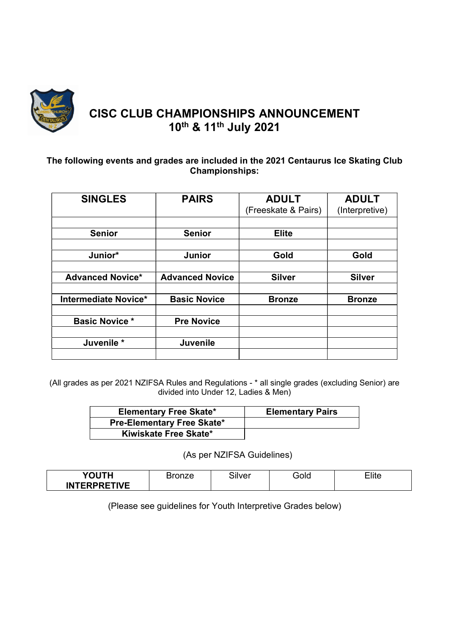

# CISC CLUB CHAMPIONSHIPS ANNOUNCEMENT 10th & 11th July 2021

### The following events and grades are included in the 2021 Centaurus Ice Skating Club Championships:

| <b>SINGLES</b>              | <b>PAIRS</b>           | <b>ADULT</b><br>(Freeskate & Pairs) | <b>ADULT</b><br>(Interpretive) |
|-----------------------------|------------------------|-------------------------------------|--------------------------------|
|                             |                        |                                     |                                |
| <b>Senior</b>               | <b>Senior</b>          | <b>Elite</b>                        |                                |
|                             |                        |                                     |                                |
| Junior*                     | Junior                 | Gold                                | Gold                           |
|                             |                        |                                     |                                |
| <b>Advanced Novice*</b>     | <b>Advanced Novice</b> | <b>Silver</b>                       | <b>Silver</b>                  |
|                             |                        |                                     |                                |
| <b>Intermediate Novice*</b> | <b>Basic Novice</b>    | <b>Bronze</b>                       | <b>Bronze</b>                  |
|                             |                        |                                     |                                |
| <b>Basic Novice *</b>       | <b>Pre Novice</b>      |                                     |                                |
|                             |                        |                                     |                                |
| Juvenile *                  | <b>Juvenile</b>        |                                     |                                |
|                             |                        |                                     |                                |

(All grades as per 2021 NZIFSA Rules and Regulations - \* all single grades (excluding Senior) are divided into Under 12, Ladies & Men)

| <b>Elementary Free Skate*</b>     | <b>Elementary Pairs</b> |
|-----------------------------------|-------------------------|
| <b>Pre-Elementary Free Skate*</b> |                         |
| Kiwiskate Free Skate*             |                         |

(As per NZIFSA Guidelines)

| YOUTH               | ~…<br>silver | GlOc` | $\overline{\phantom{a}}$ lite |
|---------------------|--------------|-------|-------------------------------|
| <b>INTERPRETIVE</b> |              |       |                               |

(Please see guidelines for Youth Interpretive Grades below)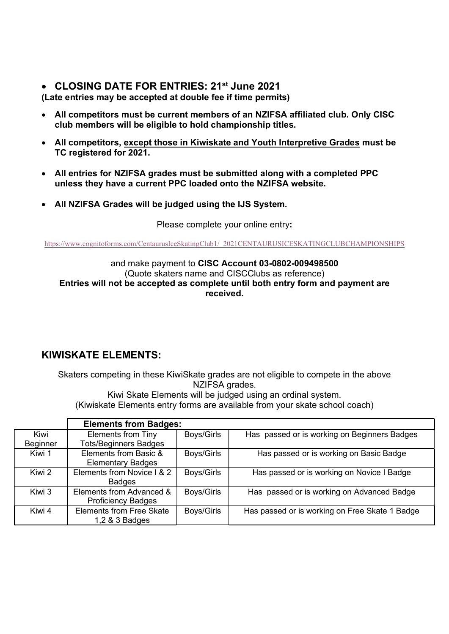## • CLOSING DATE FOR ENTRIES: 21<sup>st</sup> June 2021

(Late entries may be accepted at double fee if time permits)

- All competitors must be current members of an NZIFSA affiliated club. Only CISC club members will be eligible to hold championship titles.
- All competitors, except those in Kiwiskate and Youth Interpretive Grades must be TC registered for 2021.
- All entries for NZIFSA grades must be submitted along with a completed PPC unless they have a current PPC loaded onto the NZIFSA website.
- All NZIFSA Grades will be judged using the IJS System.

Please complete your online entry:

https://www.cognitoforms.com/CentaurusIceSkatingClub1/\_2021CENTAURUSICESKATINGCLUBCHAMPIONSHIPS

### and make payment to CISC Account 03-0802-009498500 (Quote skaters name and CISCClubs as reference) Entries will not be accepted as complete until both entry form and payment are received.

# KIWISKATE ELEMENTS:

Skaters competing in these KiwiSkate grades are not eligible to compete in the above NZIFSA grades. Kiwi Skate Elements will be judged using an ordinal system.

(Kiwiskate Elements entry forms are available from your skate school coach)

|                 | <b>Elements from Badges:</b>    |            |                                                |
|-----------------|---------------------------------|------------|------------------------------------------------|
| Kiwi            | <b>Elements from Tiny</b>       | Boys/Girls | Has passed or is working on Beginners Badges   |
| <b>Beginner</b> | <b>Tots/Beginners Badges</b>    |            |                                                |
| Kiwi 1          | Elements from Basic &           | Boys/Girls | Has passed or is working on Basic Badge        |
|                 | <b>Elementary Badges</b>        |            |                                                |
| Kiwi 2          | Elements from Novice I & 2      | Boys/Girls | Has passed or is working on Novice I Badge     |
|                 | <b>Badges</b>                   |            |                                                |
| Kiwi 3          | Elements from Advanced &        | Boys/Girls | Has passed or is working on Advanced Badge     |
|                 | <b>Proficiency Badges</b>       |            |                                                |
| Kiwi 4          | <b>Elements from Free Skate</b> | Boys/Girls | Has passed or is working on Free Skate 1 Badge |
|                 | 1,2 & 3 Badges                  |            |                                                |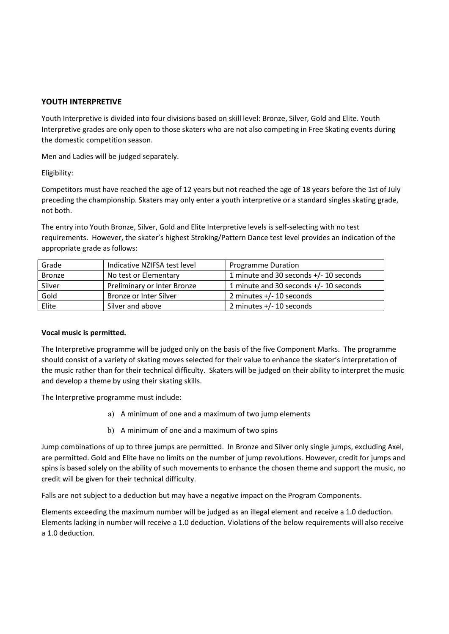### YOUTH INTERPRETIVE

Youth Interpretive is divided into four divisions based on skill level: Bronze, Silver, Gold and Elite. Youth Interpretive grades are only open to those skaters who are not also competing in Free Skating events during the domestic competition season.

Men and Ladies will be judged separately.

Eligibility:

Competitors must have reached the age of 12 years but not reached the age of 18 years before the 1st of July preceding the championship. Skaters may only enter a youth interpretive or a standard singles skating grade, not both.

The entry into Youth Bronze, Silver, Gold and Elite Interpretive levels is self-selecting with no test requirements. However, the skater's highest Stroking/Pattern Dance test level provides an indication of the appropriate grade as follows:

| Grade         | Indicative NZIFSA test level | <b>Programme Duration</b>              |
|---------------|------------------------------|----------------------------------------|
| <b>Bronze</b> | No test or Elementary        | 1 minute and 30 seconds +/- 10 seconds |
| Silver        | Preliminary or Inter Bronze  | 1 minute and 30 seconds +/- 10 seconds |
| Gold          | Bronze or Inter Silver       | 2 minutes $+/- 10$ seconds             |
| Elite         | Silver and above             | 2 minutes $+/- 10$ seconds             |

#### Vocal music is permitted.

The Interpretive programme will be judged only on the basis of the five Component Marks. The programme should consist of a variety of skating moves selected for their value to enhance the skater's interpretation of the music rather than for their technical difficulty. Skaters will be judged on their ability to interpret the music and develop a theme by using their skating skills.

The Interpretive programme must include:

- a) A minimum of one and a maximum of two jump elements
- b) A minimum of one and a maximum of two spins

Jump combinations of up to three jumps are permitted. In Bronze and Silver only single jumps, excluding Axel, are permitted. Gold and Elite have no limits on the number of jump revolutions. However, credit for jumps and spins is based solely on the ability of such movements to enhance the chosen theme and support the music, no credit will be given for their technical difficulty.

Falls are not subject to a deduction but may have a negative impact on the Program Components.

Elements exceeding the maximum number will be judged as an illegal element and receive a 1.0 deduction. Elements lacking in number will receive a 1.0 deduction. Violations of the below requirements will also receive a 1.0 deduction.